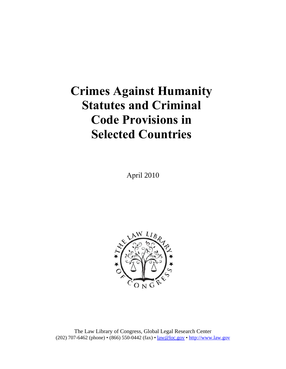# **Crimes Against Humanity Statutes and Criminal Code Provisions in Selected Countries**

April 2010



The Law Library of Congress, Global Legal Research Center (202) 707-6462 (phone) • (866) 550-0442 (fax) • law@loc.gov • http://www.law.gov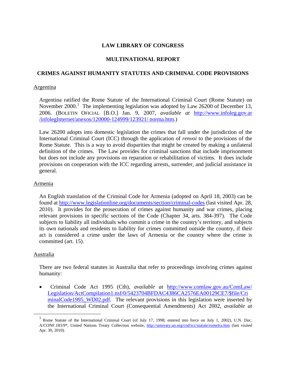# **LAW LIBRARY OF CONGRESS**

# **MULTINATIONAL REPORT**

## **CRIMES AGAINST HUMANITY STATUTES AND CRIMINAL CODE PROVISIONS**

#### Argentina

Argentina ratified the Rome Statute of the International Criminal Court (Rome Statute) on November 2000.<sup>[1](#page-1-0)</sup> The implementing legislation was adopted by Law 26200 of December 13, 2006. (BOLETIN OFICIAL [B.O.] Jan. 9, 2007, *available at* [http://www.infoleg.gov.ar](http://www.infoleg.gov.ar/infolegInternet/anexos/120000-124999/123921/norma.htm)  [/infolegInternet/anexos/120000-124999/123921/ norma.htm.](http://www.infoleg.gov.ar/infolegInternet/anexos/120000-124999/123921/norma.htm))

Law 26200 adopts into domestic legislation the crimes that fall under the jurisdiction of the International Criminal Court (ICC) through the application of *renvoi* to the provisions of the Rome Statute. This is a way to avoid disparities that might be created by making a unilateral definition of the crimes. The Law provides for criminal sanctions that include imprisonment but does not include any provisions on reparation or rehabilitation of victims. It does include provisions on cooperation with the ICC regarding arrests, surrender, and judicial assistance in general.

## Armenia

An English translation of the Criminal Code for Armenia (adopted on April 18, 2003) can be found at <http://www.legislationline.org/documents/section/criminal-codes>(last visited Apr. 28, 2010). It provides for the prosecution of crimes against humanity and war crimes, placing relevant provisions in specific sections of the Code (Chapter 34, arts. 384-397). The Code subjects to liability all individuals who commit a crime in the country's territory, and subjects its own nationals and residents to liability for crimes committed outside the country, if their act is considered a crime under the laws of Armenia or the country where the crime is committed (art. 15).

## Australia

There are two federal statutes in Australia that refer to proceedings involving crimes against humanity:

• Criminal Code Act 1995 (Cth), *available at* [http://www.comlaw.gov.au/ComLaw/](http://www.comlaw.gov.au/ComLaw/Legislation/ActCompilation1.nsf/0/5423704BFDAC4386CA2576EA00129CE7/$file/CriminalCode1995_WD02.pdf) [Legislation/ActCompilation1.nsf/0/5423704BFDAC4386CA2576EA00129CE7/\\$file/Cri](http://www.comlaw.gov.au/ComLaw/Legislation/ActCompilation1.nsf/0/5423704BFDAC4386CA2576EA00129CE7/$file/CriminalCode1995_WD02.pdf) [minalCode1995\\_WD02.pdf.](http://www.comlaw.gov.au/ComLaw/Legislation/ActCompilation1.nsf/0/5423704BFDAC4386CA2576EA00129CE7/$file/CriminalCode1995_WD02.pdf) The relevant provisions in this legislation were inserted by the International Criminal Court (Consequential Amendments) Act 2002, *available at*

<span id="page-1-0"></span>Rome Statute of the International Criminal Court (of July 17, 1998; entered into force on July 1, 2002), U.N. Doc. A/CONF.183/9\*, United Nations Treaty Collection website, <http://untreaty.un.org/cod/icc/statute/romefra.htm> (last visited Apr. 30, 2010).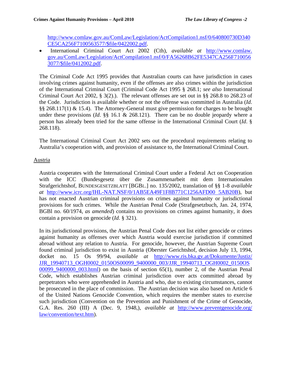http://www.comlaw.gov.au/ComLaw/Legislation/ActCompilation1.nsf/0/640800730D340 CE5CA256F7100563577/\$file/0422002.pdf.

• International Criminal Court Act 2002 (Cth), *available at* [http://www.comlaw.](http://www.comlaw.gov.au/ComLaw/Legislation/ActCompilation1.nsf/0/FA56268B62FE5347CA256F7100563077/$file/0412002.pdf) [gov.au/ComLaw/Legislation/ActCompilation1.nsf/0/FA56268B62FE5347CA256F710056](http://www.comlaw.gov.au/ComLaw/Legislation/ActCompilation1.nsf/0/FA56268B62FE5347CA256F7100563077/$file/0412002.pdf) [3077/\\$file/0412002.pdf.](http://www.comlaw.gov.au/ComLaw/Legislation/ActCompilation1.nsf/0/FA56268B62FE5347CA256F7100563077/$file/0412002.pdf)

The Criminal Code Act 1995 provides that Australian courts can have jurisdiction in cases involving crimes against humanity, even if the offenses are also crimes within the jurisdiction of the International Criminal Court (Criminal Code Act 1995 § 268.1; *see also* International Criminal Court Act 2002, § 3(2).). The relevant offenses are set out in §§ 268.8 to 268.23 of the Code. Jurisdiction is available whether or not the offense was committed in Australia (*Id*. §§ 268.117(1) & 15.4). The Attorney-General must give permission for charges to be brought under these provisions (*Id*. §§ 16.1 & 268.121). There can be no double jeopardy where a person has already been tried for the same offense in the International Criminal Court (*Id*. § 268.118).

The International Criminal Court Act 2002 sets out the procedural requirements relating to Australia's cooperation with, and provision of assistance to, the International Criminal Court.

# Austria

Austria cooperates with the International Criminal Court under a Federal Act on Cooperation with the ICC (Bundesgesetz über die Zusammenarbeit mit dem Internationalen Strafgerichtshof, BUNDESGESETZBLATT [BGBL.] no. 135/2002, translation of §§ 1-8 *available at* [http://www.icrc.org/IHL-NAT.NSF/0/1AB5EA49F1F8B771C1256AFD00 5AB20B\)](http://www.icrc.org/IHL-NAT.NSF/0/1AB5EA49F1F8B771C1256AFD005AB20B), but has not enacted Austrian criminal provisions on crimes against humanity or jurisdictional provisions for such crimes. While the Austrian Penal Code (Strafgesetzbuch, Jan. 24, 1974, BGBl no. 60/1974, *as amended*) contains no provisions on crimes against humanity, it does contain a provision on genocide (*Id*. § 321).

In its jurisdictional provisions, the Austrian Penal Code does not list either genocide or crimes against humanity as offenses over which Austria would exercise jurisdiction if committed abroad without any relation to Austria. For genocide, however, the Austrian Supreme Court found criminal jurisdiction to exist in Austria (Oberster Gerichtshof, decision July 13, 1994, docket no. 15 Os 99/94, *available at* [http://www.ris.bka.gv.at/Dokumente/Justiz/](http://www.ris.bka.gv.at/Dokumente/Justiz/JJR_19940713_OGH0002_0150OS00099_9400000_003/JJR_19940713_OGH0002_0150OS00099_9400000_003.html)  [JJR\\_19940713\\_OGH0002\\_0150OS00099\\_9400000\\_003/JJR\\_19940713\\_OGH0002\\_0150OS](http://www.ris.bka.gv.at/Dokumente/Justiz/JJR_19940713_OGH0002_0150OS00099_9400000_003/JJR_19940713_OGH0002_0150OS00099_9400000_003.html) 00099  $9400000$  003.html) on the basis of section 65(1), number 2, of the Austrian Penal Code, which establishes Austrian criminal jurisdiction over acts committed abroad by perpetrators who were apprehended in Austria and who, due to existing circumstances, cannot be prosecuted in the place of commission. The Austrian decision was also based on Article 6 of the United Nations Genocide Convention, which requires the member states to exercise such jurisdiction (Convention on the Prevention and Punishment of the Crime of Genocide, G.A. Res. 260 (III) A (Dec. 9, 1948,), *available at* [http://www.preventgenocide.org/](http://www.preventgenocide.org/law/convention/text.htm)  [law/convention/text.htm\)](http://www.preventgenocide.org/law/convention/text.htm).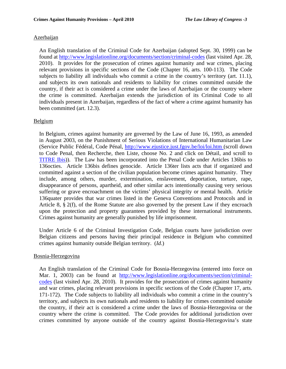## Azerbaijan

An English translation of the Criminal Code for Azerbaijan (adopted Sept. 30, 1999) can be found at <http://www.legislationline.org/documents/section/criminal-codes>(last visited Apr. 28, 2010). It provides for the prosecution of crimes against humanity and war crimes, placing relevant provisions in specific sections of the Code (Chapter 16, arts. 100-113). The Code subjects to liability all individuals who commit a crime in the country's territory (art. 11.1), and subjects its own nationals and residents to liability for crimes committed outside the country, if their act is considered a crime under the laws of Azerbaijan or the country where the crime is committed. Azerbaijan extends the jurisdiction of its Criminal Code to all individuals present in Azerbaijan, regardless of the fact of where a crime against humanity has been committed (art. 12.3).

#### Belgium

In Belgium, crimes against humanity are governed by the Law of June 16, 1993, as amended in August 2003, on the Punishment of Serious Violations of International Humanitarian Law (Service Public Fédéral, Code Pénal, <http://www.ejustice.just.fgov.be/loi/loi.htm> (scroll down to Code Penal, then Recherche, then Liste, choose No. 2 and click on Détail, and scroll to [TITRE Ibis](http://www.ejustice.just.fgov.be/cgi_loi/loi_a1.pl?DETAIL=1867060801%2FF&caller=list&row_id=1&numero=2&rech=4&cn=1867060801&table_name=LOI&nm=1867060850&la=F&dt=CODE+PENAL&language=fr&fr=f&choix1=ET&choix2=ET&fromtab=loi_all&trier=promulgation&chercher=t&sql=dt+contains++%27CODE%27%26+%27PENAL%27and+actif+%3D+%27Y%27&tri=dd+AS+RANK+&imgcn.x=46&imgcn.y=6#LNK0033#LNK0033))). The Law has been incorporated into the Penal Code under Articles 136bis to 136octies. Article 136bis defines genocide. Article 136ter lists acts that if organized and committed against a section of the civilian population become crimes against humanity. They include, among others, murder, extermination, enslavement, deportation, torture, rape, disappearance of persons, apartheid, and other similar acts intentionally causing very serious suffering or grave encroachment on the victims' physical integrity or mental health. Article 136quater provides that war crimes listed in the Geneva Conventions and Protocols and in Article 8, § 2(f), of the Rome Statute are also governed by the present Law if they encroach upon the protection and property guarantees provided by these international instruments. Crimes against humanity are generally punished by life imprisonment.

Under Article 6 of the Criminal Investigation Code, Belgian courts have jurisdiction over Belgian citizens and persons having their principal residence in Belgium who committed crimes against humanity outside Belgian territory. (*Id*.)

#### Bosnia-Herzegovina

An English translation of the Criminal Code for Bosnia-Herzegovina (entered into force on Mar. 1, 2003) can be found at [http://www.legislationline.org/documents/section/criminal](http://www.legislationline.org/documents/section/criminal-codes)[codes](http://www.legislationline.org/documents/section/criminal-codes) (last visited Apr. 28, 2010). It provides for the prosecution of crimes against humanity and war crimes, placing relevant provisions in specific sections of the Code (Chapter 17, arts. 171-172). The Code subjects to liability all individuals who commit a crime in the country's territory, and subjects its own nationals and residents to liability for crimes committed outside the country, if their act is considered a crime under the laws of Bosnia-Herzegovina or the country where the crime is committed. The Code provides for additional jurisdiction over crimes committed by anyone outside of the country against Bosnia-Herzegovina's state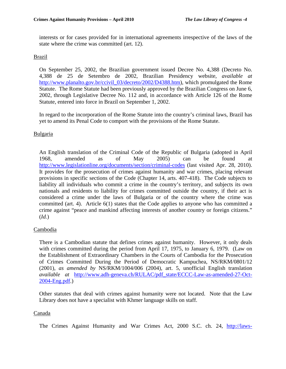interests or for cases provided for in international agreements irrespective of the laws of the state where the crime was committed (art. 12).

# Brazil

On September 25, 2002, the Brazilian government issued Decree No. 4,388 (Decreto No. 4,388 de 25 de Setembro de 2002, Brazilian Presidency website, *available at* http://www.planalto.gov.br/ccivil 03/decreto/2002/D4388.htm), which promulgated the Rome Statute. The Rome Statute had been previously approved by the Brazilian Congress on June 6, 2002, through Legislative Decree No. 112 and, in accordance with Article 126 of the Rome Statute, entered into force in Brazil on September 1, 2002.

In regard to the incorporation of the Rome Statute into the country's criminal laws, Brazil has yet to amend its Penal Code to comport with the provisions of the Rome Statute.

# Bulgaria

An English translation of the Criminal Code of the Republic of Bulgaria (adopted in April 1968, amended as of May 2005) can be found at <http://www.legislationline.org/documents/section/criminal-codes> (last visited Apr. 28, 2010). It provides for the prosecution of crimes against humanity and war crimes, placing relevant provisions in specific sections of the Code (Chapter 14, arts. 407-418). The Code subjects to liability all individuals who commit a crime in the country's territory, and subjects its own nationals and residents to liability for crimes committed outside the country, if their act is considered a crime under the laws of Bulgaria or of the country where the crime was committed (art. 4). Article 6(1) states that the Code applies to anyone who has committed a crime against "peace and mankind affecting interests of another country or foreign citizens." (*Id.*)

# Cambodia

There is a Cambodian statute that defines crimes against humanity. However, it only deals with crimes committed during the period from April 17, 1975, to January 6, 1979. (Law on the Establishment of Extraordinary Chambers in the Courts of Cambodia for the Prosecution of Crimes Committed During the Period of Democratic Kampuchea, NS/RKM/0801/12 (2001), *as amended by* NS/RKM/1004/006 (2004), art. 5, unofficial English translation *available at* [http://www.adh-geneva.ch/RULAC/pdf\\_state/ECCC-Law-as-amended-27-Oct-](http://www.adh-geneva.ch/RULAC/pdf_state/ECCC-Law-as-amended-27-Oct-2004-Eng.pdf)[2004-Eng.pdf](http://www.adh-geneva.ch/RULAC/pdf_state/ECCC-Law-as-amended-27-Oct-2004-Eng.pdf).)

Other statutes that deal with crimes against humanity were not located. Note that the Law Library does not have a specialist with Khmer language skills on staff.

## Canada

The Crimes Against Humanity and War Crimes Act, 2000 S.C. ch. 24, [http://laws-](http://laws-lois.justice.gc.ca/eng/C-45.9/index.html)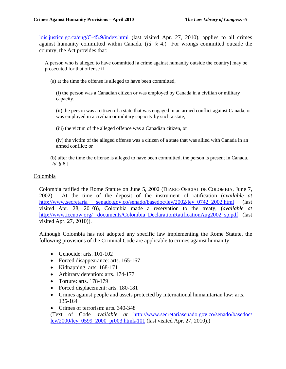[lois.justice.gc.ca/eng/C-45.9/index.html](http://laws-lois.justice.gc.ca/eng/C-45.9/index.html) (last visited Apr. 27, 2010), applies to all crimes against humanity committed within Canada. (*Id*. § 4.) For wrongs committed outside the country, the Act provides that:

A person who is alleged to have committed [a crime against humanity outside the country] may be prosecuted for that offense if

(a) at the time the offense is alleged to have been committed,

(i) the person was a Canadian citizen or was employed by Canada in a civilian or military capacity,

(ii) the person was a citizen of a state that was engaged in an armed conflict against Canada, or was employed in a civilian or military capacity by such a state,

(iii) the victim of the alleged offence was a Canadian citizen, or

(iv) the victim of the alleged offense was a citizen of a state that was allied with Canada in an armed conflict; or

(b) after the time the offense is alleged to have been committed, the person is present in Canada. [*Id*. § 8.]

## Colombia

Colombia ratified the Rome Statute on June 5, 2002 (DIARIO OFICIAL DE COLOMBIA, June 7, 2002). At the time of the deposit of the instrument of ratification (*available at* [http://www.secretaria senado.gov.co/senado/basedoc/ley/2002/ley\\_0742\\_2002.html](http://www.secretariasenado.gov.co/senado/basedoc/ley/2002/ley_0742_2002.html) (last visited Apr. 28, 2010)), Colombia made a reservation to the treaty, (*available at* http://www.iccnow.org/ documents/Colombia DeclarationRatificationAug2002 sp.pdf (last visited Apr. 27, 2010)).

Although Colombia has not adopted any specific law implementing the Rome Statute, the following provisions of the Criminal Code are applicable to crimes against humanity:

- Genocide: arts. 101-102
- Forced disappearance: arts. 165-167
- Kidnapping: arts. 168-171
- Arbitrary detention: arts. 174-177
- Torture: arts. 178-179
- Forced displacement: arts. 180-181
- Crimes against people and assets protected by international humanitarian law: arts. 135-164
- Crimes of terrorism: arts. 340-348

(Text of Code *available at* [http://www.secretariasenado.gov.co/senado/basedoc/](http://www.secretariasenado.gov.co/senado/basedoc/ley/2000/ley_0599_2000_pr003.html#101)  [ley/2000/ley\\_0599\\_2000\\_pr003.html#101](http://www.secretariasenado.gov.co/senado/basedoc/ley/2000/ley_0599_2000_pr003.html#101) (last visited Apr. 27, 2010).)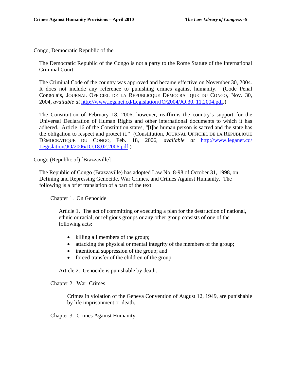#### Congo, Democratic Republic of the

The Democratic Republic of the Congo is not a party to the Rome Statute of the International Criminal Court.

The Criminal Code of the country was approved and became effective on November 30, 2004. It does not include any reference to punishing crimes against humanity. (Code Penal Congolais, JOURNAL OFFICIEL DE LA RÉPUBLICQUE DÉMOCRATIQUE DU CONGO, Nov. 30, 2004, *available at* [http://www.leganet.cd/Legislation/JO/2004/JO.30. 11.2004.pdf.](http://www.leganet.cd/Legislation/JO/2004/JO.30.11.2004.pdf))

The Constitution of February 18, 2006, however, reaffirms the country's support for the Universal Declaration of Human Rights and other international documents to which it has adhered. Article 16 of the Constitution states, "[t]he human person is sacred and the state has the obligation to respect and protect it." (Constitution, JOURNAL OFFICIEL DE LA RÉPUBLIQUE DÉMOCRATIQUE DU CONGO, Feb. 18, 2006, *available at* [http://www.leganet.cd/](http://www.leganet.cd/Legislation/JO/2006/JO.18.02.2006.pdf)  [Legislation/JO/2006/JO.18.02.2006.pdf.](http://www.leganet.cd/Legislation/JO/2006/JO.18.02.2006.pdf))

#### Congo (Republic of) [Brazzaville]

The Republic of Congo (Brazzaville) has adopted Law No. 8-98 of October 31, 1998, on Defining and Repressing Genocide, War Crimes, and Crimes Against Humanity. The following is a brief translation of a part of the text:

Chapter 1. On Genocide

Article 1. The act of committing or executing a plan for the destruction of national, ethnic or racial, or religious groups or any other group consists of one of the following acts:

- killing all members of the group;
- attacking the physical or mental integrity of the members of the group;
- intentional suppression of the group; and
- forced transfer of the children of the group.

Article 2. Genocide is punishable by death.

Chapter 2. War Crimes

Crimes in violation of the Geneva Convention of August 12, 1949, are punishable by life imprisonment or death.

Chapter 3. Crimes Against Humanity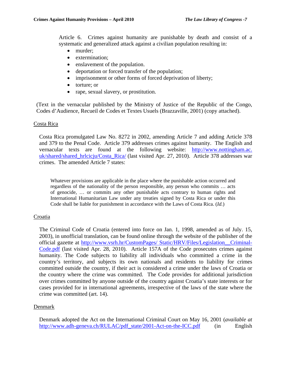Article 6. Crimes against humanity are punishable by death and consist of a systematic and generalized attack against a civilian population resulting in:

- murder;
- extermination;
- enslavement of the population.
- deportation or forced transfer of the population;
- imprisonment or other forms of forced deprivation of liberty;
- torture; or
- rape, sexual slavery, or prostitution.

(Text in the vernacular published by the Ministry of Justice of the Republic of the Congo, Codes d'Audience, Recueil de Codes et Textes Usuels (Brazzaville, 2001) (copy attached).

#### Costa Rica

Costa Rica promulgated Law No. 8272 in 2002, amending Article 7 and adding Article 378 and 379 to the Penal Code. Article 379 addresses crimes against humanity. The English and vernacular texts are found at the following website: [http://www.nottingham.ac.](http://www.nottingham.ac.uk/shared/shared_hrlcicju/Costa_Rica/)  [uk/shared/shared\\_hrlcicju/Costa\\_Rica/](http://www.nottingham.ac.uk/shared/shared_hrlcicju/Costa_Rica/) (last visited Apr. 27, 2010). Article 378 addresses war crimes. The amended Article 7 states:

Whatever provisions are applicable in the place where the punishable action occurred and regardless of the nationality of the person responsible, any person who commits … acts of genocide, … or commits any other punishable acts contrary to human rights and International Humanitarian Law under any treaties signed by Costa Rica or under this Code shall be liable for punishment in accordance with the Laws of Costa Rica. (*Id.*)

## **Croatia**

The Criminal Code of Croatia (entered into force on Jan. 1, 1998, amended as of July. 15, 2003), in unofficial translation, can be found online through the website of the publisher of the official gazette at [http://www.vsrh.hr/CustomPages/ Static/HRV/Files/Legislation\\_\\_Criminal-](http://www.vsrh.hr/CustomPages/Static/HRV/Files/Legislation__Criminal-Code.pdf)[Code.pdf](http://www.vsrh.hr/CustomPages/Static/HRV/Files/Legislation__Criminal-Code.pdf) (last visited Apr. 28, 2010). Article 157A of the Code prosecutes crimes against humanity. The Code subjects to liability all individuals who committed a crime in the country's territory, and subjects its own nationals and residents to liability for crimes committed outside the country, if their act is considered a crime under the laws of Croatia or the country where the crime was committed. The Code provides for additional jurisdiction over crimes committed by anyone outside of the country against Croatia's state interests or for cases provided for in international agreements, irrespective of the laws of the state where the crime was committed (art. 14).

#### Denmark

Denmark adopted the Act on the International Criminal Court on May 16, 2001 (*available at* [http://www.adh-geneva.ch/RULAC/pdf\\_state/2001-Act-on-the-ICC.pdf](http://www.adh-geneva.ch/RULAC/pdf_state/2001-Act-on-the-ICC.pdf) (in English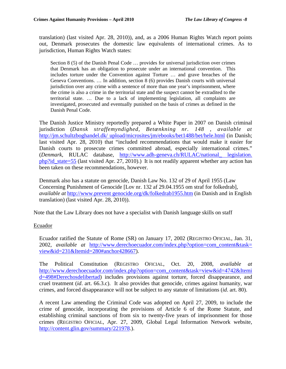translation) (last visited Apr. 28, 2010)), and, as a 2006 Human Rights Watch report points out, Denmark prosecutes the domestic law equivalents of international crimes. As to jurisdiction, Human Rights Watch states:

Section 8 (5) of the Danish Penal Code … provides for universal jurisdiction over crimes that Denmark has an obligation to prosecute under an international convention. This includes torture under the Convention against Torture … and grave breaches of the Geneva Conventions. … In addition, section 8 (6) provides Danish courts with universal jurisdiction over any crime with a sentence of more than one year's imprisonment, where the crime is also a crime in the territorial state and the suspect cannot be extradited to the territorial state. … Due to a lack of implementing legislation, all complaints are investigated, prosecuted and eventually punished on the basis of crimes as defined in the Danish Penal Code.

The Danish Justice Ministry reportedly prepared a White Paper in 2007 on Danish criminal jurisdiction (*Dansk straffemyndighed, Betænkning nr. 148* , *available at* [http://jm.schultzboghandel.dk/ upload/microsites/jm/ebooks/bet1488/bet/hele.html](http://jm.schultzboghandel.dk/upload/microsites/jm/ebooks/bet1488/bet/hele.html) (in Danish; last visited Apr. 28, 2010) that "included recommendations that would make it easier for Danish courts to prosecute crimes committed abroad, especially international crimes." (*Denmark*, RULAC database, [http://www.adh-geneva.ch/RULAC/national\\_ legislation.](http://www.adh-geneva.ch/RULAC/national_legislation.php?id_state=55)  [php?id\\_state=55](http://www.adh-geneva.ch/RULAC/national_legislation.php?id_state=55) (last visited Apr. 27, 2010).) It is not readily apparent whether any action has been taken on these recommendations, however.

Denmark also has a statute on genocide, Danish Law No. 132 of 29 of April 1955 (Law Concerning Punishment of Genocide [Lov nr. 132 af 29.04.1955 om straf for folkedrab], *available at* [http://www.prevent genocide.org/dk/folkedrab1955.htm](http://www.preventgenocide.org/dk/folkedrab1955.htm) (in Danish and in English translation) (last visited Apr. 28, 2010)).

Note that the Law Library does not have a specialist with Danish language skills on staff

# Ecuador

Ecuador ratified the Statute of Rome (SR) on January 17, 2002 (REGISTRO OFICIAL, Jan. 31, 2002, *available at* [http://www.derechoecuador.com/index.php?option=com\\_content&task=](http://www.derechoecuador.com/index.php?option=com_content&task=view&id=231&Itemid=280#anchor428667)  [view&id=231&Itemid=280#anchor428667\)](http://www.derechoecuador.com/index.php?option=com_content&task=view&id=231&Itemid=280#anchor428667).

The Political Constitution (REGISTRO OFICIAL, Oct. 20, 2008, *available at* [http://www.derechoecuador.com/index.php?option=com\\_content&task=view&id=4742&Itemi](http://www.derechoecuador.com/index.php?option=com_content&task=view&id=4742&Itemid=498#Derechosdelibertad) [d=498#Derechosdelibertad](http://www.derechoecuador.com/index.php?option=com_content&task=view&id=4742&Itemid=498#Derechosdelibertad)) includes provisions against torture, forced disappearance, and cruel treatment (*id*. art. 66.3.c). It also provides that genocide, crimes against humanity, war crimes, and forced disappearance will not be subject to any statute of limitations (*id*. art. 80).

A recent Law amending the Criminal Code was adopted on April 27, 2009, to include the crime of genocide, incorporating the provisions of Article 6 of the Rome Statute, and establishing criminal sanctions of from six to twenty-five years of imprisonment for those crimes (REGISTRO OFICIAL, Apr. 27, 2009, Global Legal Information Network website, [http://content.glin.gov/summary/221978.](http://content.glin.gov/summary/221978)).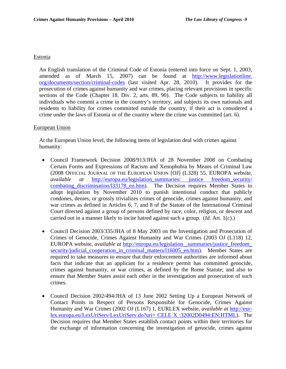#### Estonia

An English translation of the Criminal Code of Estonia (entered into force on Sept. 1, 2003, amended as of March 15, 2007) can be found at [http://www.legislationline.](http://www.legislationline.org/documents/section/criminal-codes)  [org/documents/section/criminal-codes](http://www.legislationline.org/documents/section/criminal-codes) (last visited Apr. 28, 2010). It provides for the prosecution of crimes against humanity and war crimes, placing relevant provisions in specific sections of the Code (Chapter 18. Div. 2, arts. 89, 90). The Code subjects to liability all individuals who commit a crime in the country's territory, and subjects its own nationals and residents to liability for crimes committed outside the country, if their act is considered a crime under the laws of Estonia or of the country where the crime was committed (art. 6).

## European Union

At the European Union level, the following items of legislation deal with crimes against humanity:

- Council Framework Decision 2008/913/JHA of 28 November 2008 on Combating Certain Forms and Expressions of Racism and Xenophobia by Means of Criminal Law (2008 OFFICIAL JOURNAL OF THE EUROPEAN UNION [OJ] (L328) 55, EUROPA website, *available at* [http://europa.eu/legislation\\_summaries/ justice freedom\\_security/](http://europa.eu/legislation_summaries/justice_freedom_security/combating_discrimination/l33178_en.htm) combating discrimination/133178 en.htm). The Decision requires Member States to adopt legislation by November 2010 to punish intentional conduct that publicly condones, denies, or grossly trivializes crimes of genocide, crimes against humanity, and war crimes as defined in Articles 6, 7, and 8 of the Statute of the International Criminal Court directed against a group of persons defined by race, color, religion, or descent and carried out in a manner likely to incite hatred against such a group. (*Id.* Art. 1(c).)
- Council Decision 2003/335/JHA of 8 May 2003 on the Investigation and Prosecution of Crimes of Genocide, Crimes Against Humanity and War Crimes (2003 OJ (L118) 12, EUROPA website, *available at* [http://europa.eu/legislation \\_summaries/justice\\_freedom\\_](http://europa.eu/legislation_summaries/justice_freedom_security/judicial_cooperation_in_criminal_matters/l16005_en.htm) [security/judicial\\_cooperation\\_in\\_criminal\\_matters/l16005\\_en.htm](http://europa.eu/legislation_summaries/justice_freedom_security/judicial_cooperation_in_criminal_matters/l16005_en.htm)). Member States are required to take measures to ensure that their enforcement authorities are informed about facts that indicate that an applicant for a residence permit has committed genocide, crimes against humanity, or war crimes, as defined by the Rome Statute; and also to ensure that Member States assist each other in the investigation and prosecution of such crimes.
- Council Decision 2002/494/JHA of 13 June 2002 Setting Up a European Network of Contact Points in Respect of Persons Responsible for Genocide, Crimes Against Humanity and War Crimes (2002 OJ (L167) 1, EURLEX website, *available at* [http://eur](http://eur-lex.europa.eu/LexUriServ/LexUriServ.do?uri=%20CELEX%20:32002D0494:EN:HTML)[lex.europa.eu/LexUriServ/LexUriServ.do?uri= CELE X :32002D0494:EN:HTML](http://eur-lex.europa.eu/LexUriServ/LexUriServ.do?uri=%20CELEX%20:32002D0494:EN:HTML)). The Decision requires that Member States establish contact points within their territories for the exchange of information concerning the investigation of genocide, crimes against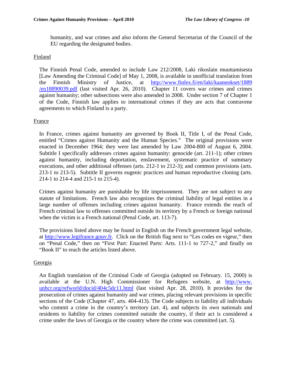humanity, and war crimes and also inform the General Secretariat of the Council of the EU regarding the designated bodies.

# Finland

The Finnish Penal Code, amended to include Law 212/2008, Laki rikoslain muuttamisesta [Law Amending the Criminal Code] of May 1, 2008, is available in unofficial translation from the Finnish Ministry of Justice, at [http://www.finlex.fi/en/laki/kaannokset/1889](http://www.finlex.fi/en/laki/kaannokset/1889/en18890039.pdf)  [/en18890039.pdf](http://www.finlex.fi/en/laki/kaannokset/1889/en18890039.pdf) (last visited Apr. 26, 2010). Chapter 11 covers war crimes and crimes against humanity; other subsections were also amended in 2008. Under section 7 of Chapter 1 of the Code, Finnish law applies to international crimes if they are acts that contravene agreements to which Finland is a party.

# France

In France, crimes against humanity are governed by Book II, Title I, of the Penal Code, entitled "Crimes against Humanity and the Human Species." The original provisions were enacted in December 1964; they were last amended by Law 2004-800 of August 6, 2004. Subtitle I specifically addresses crimes against humanity: genocide (art. 211-1); other crimes against humanity, including deportation, enslavement, systematic practice of summary executions, and other additional offenses (arts. 212-1 to 212-3); and common provisions (arts. 213-1 to 213-5). Subtitle II governs eugenic practices and human reproductive cloning (arts. 214-1 to 214-4 and 215-1 to 215-4).

Crimes against humanity are punishable by life imprisonment. They are not subject to any statute of limitations. French law also recognizes the criminal liability of legal entities in a large number of offenses including crimes against humanity. France extends the reach of French criminal law to offenses committed outside its territory by a French or foreign national when the victim is a French national (Penal Code, art. 113-7).

The provisions listed above may be found in English on the French government legal website, at [http://www.legifrance.gouv.fr.](http://www.legifrance.gouv.fr/) Click on the British flag next to "Les codes en vigeur," then on "Penal Code," then on "First Part: Enacted Parts: Arts. 111-1 to 727-2," and finally on "Book II" to reach the articles listed above.

## Georgia

An English translation of the Criminal Code of Georgia (adopted on February. 15, 2000) is available at the U.N. High Commissioner for Refugees website, at [http://www.](http://www.unhcr.org/refworld/docid/404c5dc11.html)  [unhcr.org/refworld/docid/404c5dc11.html](http://www.unhcr.org/refworld/docid/404c5dc11.html) (last visited Apr. 28, 2010). It provides for the prosecution of crimes against humanity and war crimes, placing relevant provisions in specific sections of the Code (Chapter 47, arts. 404-413). The Code subjects to liability all individuals who commit a crime in the country's territory (art. 4), and subjects its own nationals and residents to liability for crimes committed outside the country, if their act is considered a crime under the laws of Georgia or the country where the crime was committed (art. 5).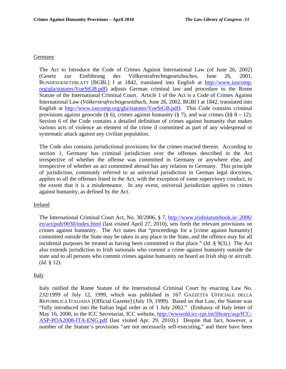## **Germany**

The Act to Introduce the Code of Crimes Against International Law (of June 26, 2002) (Gesetz zur Einführung des Völkerstrafrechtsgesetzbuches, June 26, 2001, BUNDESGESETZBLATT [BGBl.] I at 1842, translated into English at [http://www.iuscomp.](http://www.iuscomp.org/gla/statutes/VoeStGB.pdf)  [org/gla/statutes/VoeStGB.pdf](http://www.iuscomp.org/gla/statutes/VoeStGB.pdf)) adjusts German criminal law and procedure to the Rome Statute of the International Criminal Court. Article 1 of the Act is a Code of Crimes Against International Law (*Völkerstrafrechtsgesetzbuc*h, June 26, 2002, BGBl I at 1842, translated into English at <http://www.iuscomp.org/gla/statutes/VoeStGB.pdf>). This Code contains criminal provisions against genocide (§ 6), crimes against humanity (§ 7), and war crimes (§§  $8 - 12$ ). Section 6 of the Code contains a detailed definition of crimes against humanity that makes various acts of violence an element of the crime if committed as part of any widespread or systematic attack against any civilian population.

The Code also contains jurisdictional provisions for the crimes enacted therein. According to section 1, Germany has criminal jurisdiction over the offenses described in the Act irrespective of whether the offense was committed in Germany or anywhere else, and irrespective of whether an act committed abroad has any relation to Germany. This principle of jurisdiction, commonly referred to as universal jurisdiction in German legal doctrines, applies to all the offenses listed in the Act, with the exception of some supervisory conduct, to the extent that it is a misdemeanor. In any event, universal jurisdiction applies to crimes against humanity, as defined by the Act.

## Ireland

The International Criminal Court Act, No. 30/2006, § 7, [http://www.irishstatutebook.ie/ 2006/](http://www.irishstatutebook.ie/2006/en/act/pub/0030/index.htm)  [en/act/pub/0030/index.html](http://www.irishstatutebook.ie/2006/en/act/pub/0030/index.htm) (last visited April 27, 2010), sets forth the relevant provisions on crimes against humanity. The Act states that "proceedings for a [crime against humanity] committed outside the State may be taken in any place in the State, and the offence may for all incidental purposes be treated as having been committed in that place." (*Id*. § 9(3).) The Act also extends jurisdiction to Irish nationals who commit a crime against humanity outside the state and to all persons who commit crimes against humanity on board an Irish ship or aircraft. (*Id*. § 12).

## Italy

Italy ratified the Rome Statute of the International Criminal Court by enacting Law No. 232/1999 of July 12, 1999, which was published in 167 GAZZETTA UFFICIALE DELLA REPUBBLICA ITALIANA [Official Gazette] (July 19, 1999). Based on that Law, the Statute was "fully introduced into the Italian legal order as of 1 July 2002." (Embassy of Italy letter of May 16, 2008, to the ICC Secretariat, ICC website, [http://wwwold.icc-cpi.int/library/asp/ICC-](http://wwwold.icc-cpi.int/library/asp/ICC-ASP-POA2008-ITA-ENG.pdf)[ASP-POA2008-ITA-ENG.pdf](http://wwwold.icc-cpi.int/library/asp/ICC-ASP-POA2008-ITA-ENG.pdf) (last visited Apr. 29, 2010).) Despite that fact, however, a number of the Statute's provisions "are not necessarily self-executing," and there have been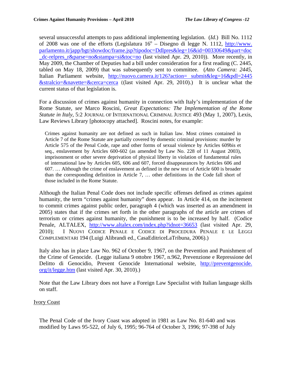several unsuccessful attempts to pass additional implementing legislation. (*Id*.) Bill No. 1112 of 2008 was one of the efforts (Legislatura  $16^{\circ}$  – Disegno di legge N. 1112, http://www. [parlamento.it/japp/bgt/showdoc/frame.jsp?tipodoc=Ddlpres&leg=16&id=00330649&part=doc](http://www.parlamento.it/japp/bgt/showdoc/frame.jsp?tipodoc=Ddlpres&leg=16&id=00330649&part=doc_dc-relpres_r&parse=no&stampa=si&toc=no) [\\_dc-relpres\\_r&parse=no&stampa=si&toc=no](http://www.parlamento.it/japp/bgt/showdoc/frame.jsp?tipodoc=Ddlpres&leg=16&id=00330649&part=doc_dc-relpres_r&parse=no&stampa=si&toc=no) (last visited Apr. 29, 2010)). More recently, in May 2009, the Chamber of Deputies had a bill under consideration for a first reading (C. 2445, tabled on May 18, 2009) that was subsequently sent to committee. (*Atto Camera: 2445*, Italian Parliament website, [http://nuovo.camera.it/126?action= submit&leg=16&pdl=2445](http://nuovo.camera.it/126?action=submit&leg=16&pdl=2445&stralcio=&navette=&cerca=cerca)  [&stralcio=&navette=&cerca=cerca](http://nuovo.camera.it/126?action=submit&leg=16&pdl=2445&stralcio=&navette=&cerca=cerca) ((last visited Apr. 29, 2010).) It is unclear what the current status of that legislation is.

For a discussion of crimes against humanity in connection with Italy's implementation of the Rome Statute, *see* Marco Roscini, *Great Expectations: The Implementation of the Rome Statute in Italy*, 5:2 JOURNAL OF INTERNATIONAL CRIMINAL JUSTICE 493 (May 1, 2007), Lexis, Law Reviews Library [photocopy attached]. Roscini notes, for example:

Crimes against humanity are not defined as such in Italian law. Most crimes contained in Article 7 of the Rome Statute are partially covered by domestic criminal provisions: murder by Article 575 of the Penal Code, rape and other forms of sexual violence by Articles 609bis et seq., enslavement by Articles 600-602 (as amended by Law No. 228 of 11 August 2003), imprisonment or other severe deprivation of physical liberty in violation of fundamental rules of international law by Articles 605, 606 and 607, forced disappearances by Articles 606 and 607. … Although the crime of enslavement as defined in the new text of Article 600 is broader than the corresponding definition in Article 7, … other definitions in the Code fall short of those included in the Rome Statute.

Although the Italian Penal Code does not include specific offenses defined as crimes against humanity, the term "crimes against humanity" does appear. In Article 414, on the incitement to commit crimes against public order, paragraph 4 (which was inserted as an amendment in 2005) states that if the crimes set forth in the other paragraphs of the article are crimes of terrorism or crimes against humanity, the punishment is to be increased by half. (Codice Penale, ALTALEX, <http://www.altalex.com/index.php?idnot=36653> (last visited Apr. 29, 2010); I NUOVI CODICE PENALE E CODICE DI PROCEDURA PENALE E LE LEGGI COMPLEMENTARI 194 (Luigi Alibrandi ed., CasaEditriceLaTribuna, 2006).)

Italy also has in place Law No. 962 of October 9, 1967, on the Prevention and Punishment of the Crime of Genocide. (Legge italiana 9 ottobre 1967, n.962, Prevenzione e Repressione del Delitto di Genocidio, Prevent Genocide International website, [http://preventgenocide.](http://preventgenocide.org/it/legge.htm)  [org/it/legge.htm](http://preventgenocide.org/it/legge.htm) (last visited Apr. 30, 2010).)

Note that the Law Library does not have a Foreign Law Specialist with Italian language skills on staff.

# Ivory Coast

The Penal Code of the Ivory Coast was adopted in 1981 as Law No. 81-640 and was modified by Laws 95-522, of July 6, 1995; 96-764 of October 3, 1996; 97-398 of July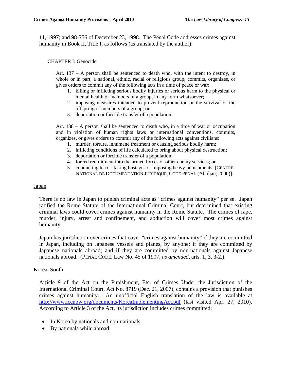11, 1997; and 98-756 of December 23, 1998. The Penal Code addresses crimes against humanity in Book II, Title I, as follows (as translated by the author):

#### CHAPTER I: Genocide

Art. 137 – A person shall be sentenced to death who, with the intent to destroy, in whole or in part, a national, ethnic, racial or religious group, commits, organizes, or gives orders to commit any of the following acts in a time of peace or war:

- 1. killing or inflicting serious bodily injuries or serious harm to the physical or mental health of members of a group, in any form whatsoever;
- 2. imposing measures intended to prevent reproduction or the survival of the offspring of members of a group; or
- 3. deportation or forcible transfer of a population.

Art. 138 – A person shall be sentenced to death who, in a time of war or occupation and in violation of human rights laws or international conventions, commits, organizes, or gives orders to commit any of the following acts against civilians:

- 1. murder, torture, inhumane treatment or causing serious bodily harm;
- 2. inflicting conditions of life calculated to bring about physical destruction;
- 3. deportation or forcible transfer of a population;
- 4. forced recruitment into the armed forces or other enemy services; or
- 5. conducting terror, taking hostages or imposing heavy punishments. [CENTRE NATIONAL DE DOCUMENTATION JURIDIQUE, CODE PENAL (Abidjan, 2000)].

#### **Japan**

There is no law in Japan to punish criminal acts as "crimes against humanity" per se. Japan ratified the Rome Statute of the International Criminal Court, but determined that existing criminal laws could cover crimes against humanity in the Rome Statute. The crimes of rape, murder, injury, arrest and confinement, and abduction will cover most crimes against humanity.

Japan has jurisdiction over crimes that cover "crimes against humanity" if they are committed in Japan, including on Japanese vessels and planes, by anyone; if they are committed by Japanese nationals abroad; and if they are committed by non-nationals against Japanese nationals abroad. (PENAL CODE, Law No. 45 of 1907, *as amended*, arts. 1, 3, 3-2.)

#### Korea, South

Article 9 of the Act on the Punishment, Etc. of Crimes Under the Jurisdiction of the International Criminal Court, Act No. 8719 (Dec. 21, 2007), contains a provision that punishes crimes against humanity. An unofficial English translation of the law is available at <http://www.iccnow.org/documents/KoreaImplementingAct.pdf>(last visited Apr. 27, 2010). According to Article 3 of the Act, its jurisdiction includes crimes committed:

- In Korea by nationals and non-nationals;
- By nationals while abroad;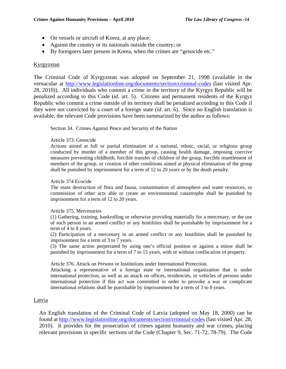- On vessels or aircraft of Korea, at any place;
- Against the country or its nationals outside the country; or
- By foreigners later present in Korea, when the crimes are "genocide etc."

#### Kyrgyzstan

The Criminal Code of Kyrgyzstan was adopted on September 21, 1998 (available in the vernacular at <http://www.legislationline.org/documents/section/criminal-codes> (last visited Apr. 28, 2010)). All individuals who commit a crime in the territory of the Kyrgyz Republic will be penalized according to this Code (*id*. art. 5). Citizens and permanent residents of the Kyrgyz Republic who commit a crime outside of its territory shall be penalized according to this Code if they were not convicted by a court of a foreign state (*id*. art. 6). Since no English translation is available, the relevant Code provisions have been summarized by the author as follows:

Section 34. Crimes Against Peace and Security of the Nation

#### Article 373. Genocide

Actions aimed at full or partial elimination of a national, ethnic, racial, or religious group conducted by murder of a member of this group, causing health damage, imposing coercive measures preventing childbirth, forcible transfer of children of the group, forcible resettlement of members of the group, or creation of other conditions aimed at physical elimination of the group shall be punished by imprisonment for a term of 12 to 20 years or by the death penalty.

#### Article 374 Ecocide

The mass destruction of flora and fauna, contamination of atmosphere and water resources, or commission of other acts able to create an environmental catastrophe shall be punished by imprisonment for a term of 12 to 20 years.

#### Article 375. Mercenaries

(1) Gathering, training, bankrolling or otherwise providing materially for a mercenary, or the use of such person in an armed conflict or any hostilities shall be punishable by imprisonment for a term of 4 to 8 years.

(2) Participation of a mercenary in an armed conflict or any hostilities shall be punished by imprisonment for a term of 3 to 7 years.

(3) The same action perpetrated by using one's official position or against a minor shall be punished by imprisonment for a term of 7 to 15 years, with or without confiscation of property.

Article 376. Attack on Persons or Institutions under International Protection.

Attacking a representative of a foreign state or international organization that is under international protection, as well as an attack on offices, residencies, or vehicles of persons under international protection if this act was committed in order to provoke a war or complicate international relations shall be punishable by imprisonment for a term of 3 to 8 years.

#### Latvia

An English translation of the Criminal Code of Latvia (adopted on May 18, 2000) can be found at <http://www.legislationline.org/documents/section/criminal-codes>(last visited Apr. 28, 2010). It provides for the prosecution of crimes against humanity and war crimes, placing relevant provisions in specific sections of the Code (Chapter 9, Sec. 71-72, 78-79). The Code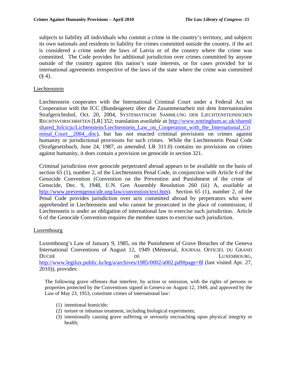subjects to liability all individuals who commit a crime in the country's territory, and subjects its own nationals and residents to liability for crimes committed outside the country, if the act is considered a crime under the laws of Latvia or of the country where the crime was committed. The Code provides for additional jurisdiction over crimes committed by anyone outside of the country against this nation's state interests, or for cases provided for in international agreements irrespective of the laws of the state where the crime was committed  $(§ 4).$ 

# **Liechtenstein**

Liechtenstein cooperates with the International Criminal Court under a Federal Act on Cooperation with the ICC (Bundesgesetz über die Zusammenarbeit mit dem Internationalen Strafgerichtshof, Oct. 20, 2004, SYSTEMATISCHE SAMMLUNG DER LIECHTENSTEINISCHEN RECHTSVORSCHRIFTEN [LR] 352; translation *available at* [http://www.nottingham.ac.uk/shared/](http://www.nottingham.ac.uk/shared/shared_hrlcicju/Lichtenstein/Liechtenstein_Law_on_Cooperation_with_the_International_Criminal_Court__2004_.doc)  [shared\\_hrlcicju/Lichtenstein/Liechtenstein\\_Law\\_on\\_Cooperation\\_with\\_the\\_International\\_Cri](http://www.nottingham.ac.uk/shared/shared_hrlcicju/Lichtenstein/Liechtenstein_Law_on_Cooperation_with_the_International_Criminal_Court__2004_.doc) minal Court 2004 .doc), but has not enacted criminal provisions on crimes against humanity or jurisdictional provisions for such crimes. While the Liechtenstein Penal Code (Strafgesetzbuch, June 24, 1987, *as amended*, LR 311.0) contains no provisions on crimes against humanity, it does contain a provision on genocide in section 321.

Criminal jurisdiction over genocide perpetrated abroad appears to be available on the basis of section 65 (1), number 2, of the Liechtenstein Penal Code, in conjunction with Article 6 of the Genocide Convention (Convention on the Prevention and Punishment of the crime of Genocide, Dec. 9, 1948, U.N. Gen Assembly Resolution 260 (iii) A, *available at* <http://www.preventgenocide.org/law/convention/text.htm>). Section 65 (1), number 2, of the Penal Code provides jurisdiction over acts committed abroad by perpetrators who were apprehended in Liechtenstein and who cannot be prosecuted in the place of commission, if Liechtenstein is under an obligation of international law to exercise such jurisdiction. Article 6 of the Genocide Convention requires the member states to exercise such jurisdiction.

## Luxembourg

Luxembourg's Law of January 9, 1985, on the Punishment of Grave Breaches of the Geneva International Conventions of August 12, 1949 (Mémorial, JOURNAL OFFICIEL DU GRAND DUCHÉ DE DE LUXEMBOURG, <http://www.legilux.public.lu/leg/a/archives/1985/0002/a002.pdf#page=8l> (last visited Apr. 27, 2010)), provides:

The following grave offenses that interfere, by action or omission, with the rights of persons or properties protected by the Conventions signed in Geneva on August 12, 1949, and approved by the Law of May 23, 1953, constitute crimes of international law:

- (1) intentional homicide;
- (2) torture or inhuman treatment, including biological experiments;
- (3) intentionally causing grave suffering or seriously encroaching upon physical integrity or health;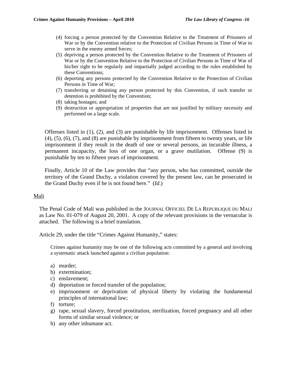- (4) forcing a person protected by the Convention Relative to the Treatment of Prisoners of War or by the Convention relative to the Protection of Civilian Persons in Time of War to serve in the enemy armed forces;
- (5) depriving a person protected by the Convention Relative to the Treatment of Prisoners of War or by the Convention Relative to the Protection of Civilian Persons in Time of War of his/her right to be regularly and impartially judged according to the rules established by these Conventions;
- (6) deporting any persons protected by the Convention Relative to the Protection of Civilian Persons in Time of War;
- (7) transferring or detaining any person protected by this Convention, if such transfer or detention is prohibited by the Convention;
- (8) taking hostages; and
- (9) destruction or appropriation of properties that are not justified by military necessity and performed on a large scale.

Offenses listed in (1), (2), and (3) are punishable by life imprisonment. Offenses listed in (4), (5), (6), (7), and (8) are punishable by imprisonment from fifteen to twenty years, or life imprisonment if they result in the death of one or several persons, an incurable illness, a permanent incapacity, the loss of one organ, or a grave mutilation. Offense (9) is punishable by ten to fifteen years of imprisonment.

Finally, Article 10 of the Law provides that "any person, who has committed, outside the territory of the Grand Duchy, a violation covered by the present law, can be prosecuted in the Grand Duchy even if he is not found here." (*Id*.)

## Mali

The Penal Code of Mali was published in the JOURNAL OFFICIEL DE LA REPUBLIQUE DU MALI as Law No. 01-079 of August 20, 2001. A copy of the relevant provisions in the vernacular is attached. The following is a brief translation.

Article 29, under the title "Crimes Against Humanity," states:

Crimes against humanity may be one of the following acts committed by a general and involving a systematic attack launched against a civilian population:

- a) murder;
- b) extermination;
- c) enslavement;
- d) deportation or forced transfer of the population;
- e) imprisonment or deprivation of physical liberty by violating the fundamental principles of international law;
- f) torture;
- g) rape, sexual slavery, forced prostitution, sterilization, forced pregnancy and all other forms of similar sexual violence; or
- h) any other inhumane act.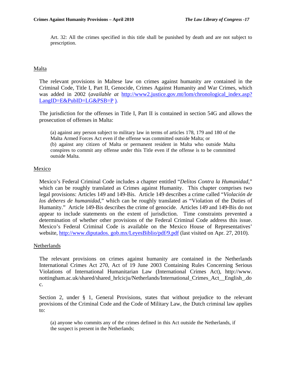Art. 32: All the crimes specified in this title shall be punished by death and are not subject to prescription.

# Malta

The relevant provisions in Maltese law on crimes against humanity are contained in the Criminal Code, Title I, Part II, Genocide, Crimes Against Humanity and War Crimes, which was added in 2002 (*available at* [http://www2.justice.gov.mt/lom/chronological\\_index.asp?](http://www2.justice.gov.mt/lom/chronological_index.asp?LangID=E&PubID=LG&PSB=P)  [LangID=E&PubID=LG&PSB=P](http://www2.justice.gov.mt/lom/chronological_index.asp?LangID=E&PubID=LG&PSB=P)).

The jurisdiction for the offenses in Title I, Part II is contained in section 54G and allows the prosecution of offenses in Malta:

(a) against any person subject to military law in terms of articles 178, 179 and 180 of the Malta Armed Forces Act even if the offense was committed outside Malta; or (b) against any citizen of Malta or permanent resident in Malta who outside Malta conspires to commit any offense under this Title even if the offense is to be committed outside Malta.

## **Mexico**

Mexico's Federal Criminal Code includes a chapter entitled "*Delitos Contra la Humanidad*," which can be roughly translated as Crimes against Humanity. This chapter comprises two legal provisions: Articles 149 and 149-Bis. Article 149 describes a crime called "*Violación de los deberes de humanidad*," which can be roughly translated as "Violation of the Duties of Humanity." Article 149-Bis describes the crime of genocide. Articles 149 and 149-Bis do not appear to include statements on the extent of jurisdiction. Time constraints prevented a determination of whether other provisions of the Federal Criminal Code address this issue. Mexico's Federal Criminal Code is available on the Mexico House of Representatives' website, http://www.diputados.gob.mx/LeyesBiblio/pdf/9.pdf (last visited on Apr. 27, 2010).

## **Netherlands**

The relevant provisions on crimes against humanity are contained in the Netherlands International Crimes Act 270, Act of 19 June 2003 Containing Rules Concerning Serious Violations of International Humanitarian Law (International Crimes Act), http://www. nottingham.ac.uk/shared/shared\_hrlcicju/Netherlands/International\_Crimes\_Act\_\_English\_.do c.

Section 2, under § 1, General Provisions, states that without prejudice to the relevant provisions of the Criminal Code and the Code of Military Law, the Dutch criminal law applies to:

(a) anyone who commits any of the crimes defined in this Act outside the Netherlands, if the suspect is present in the Netherlands;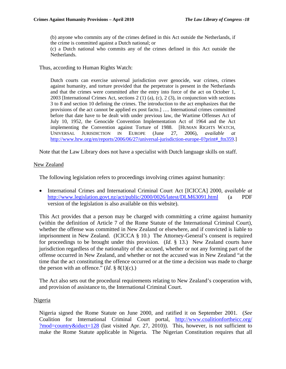(b) anyone who commits any of the crimes defined in this Act outside the Netherlands, if the crime is committed against a Dutch national; or

(c) a Dutch national who commits any of the crimes defined in this Act outside the Netherlands.

Thus, according to Human Rights Watch:

Dutch courts can exercise universal jurisdiction over genocide, war crimes, crimes against humanity, and torture provided that the perpetrator is present in the Netherlands and that the crimes were committed after the entry into force of the act on October 1, 2003 [International Crimes Act, sections 2 (1) (a), (c), 2 (3), in conjunction with sections 3 to 8 and section 10 defining the crimes. The introduction to the act emphasizes that the provisions of the act cannot be applied ex post facto.] …. International crimes committed before that date have to be dealt with under previous law, the Wartime Offenses Act of July 10, 1952, the Genocide Convention Implementation Act of 1964 and the Act implementing the Convention against Torture of 1988. [HUMAN RIGHTS WATCH, UNIVERSAL JURISDICTION IN EUROPE (June 27, 2006), *available at* [http://www.hrw.org/en/reports/2006/06/27/universal-jurisdiction-europe-0?print#\\_ftn359.](http://www.hrw.org/en/reports/2006/06/27/universal-jurisdiction-europe-0?print#_ftn359)]

Note that the Law Library does not have a specialist with Dutch language skills on staff.

#### New Zealand

The following legislation refers to proceedings involving crimes against humanity:

• International Crimes and International Criminal Court Act [ICICCA] 2000, *available at* <http://www.legislation.govt.nz/act/public/2000/0026/latest/DLM63091.html> (a PDF version of the legislation is also available on this website).

This Act provides that a person may be charged with committing a crime against humanity (within the definition of Article 7 of the Rome Statute of the International Criminal Court), whether the offense was committed in New Zealand or elsewhere, and if convicted is liable to imprisonment in New Zealand. (ICICCA § 10.) The Attorney-General's consent is required for proceedings to be brought under this provision. (*Id*. § 13.) New Zealand courts have jurisdiction regardless of the nationality of the accused, whether or not any forming part of the offense occurred in New Zealand, and whether or not the accused was in New Zealand "at the time that the act constituting the offence occurred or at the time a decision was made to charge the person with an offence."  $(Id. \S 8(1)(c)$ .)

The Act also sets out the procedural requirements relating to New Zealand's cooperation with, and provision of assistance to, the International Criminal Court.

## Nigeria

Nigeria signed the Rome Statute on June 2000, and ratified it on September 2001. (*See*  Coalition for International Criminal Court portal, [http://www.coalitionfortheicc.org/](http://www.coalitionfortheicc.org/?mod=country&iduct=128) [?mod=country&iduct=128](http://www.coalitionfortheicc.org/?mod=country&iduct=128) (last visited Apr. 27, 2010)). This, however, is not sufficient to make the Rome Statute applicable in Nigeria. The Nigerian Constitution requires that all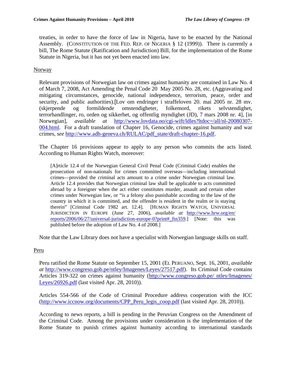treaties, in order to have the force of law in Nigeria, have to be enacted by the National Assembly. (CONSTITUTION OF THE FED. REP. OF NIGERIA  $\S$  12 (1999)). There is currently a bill, The Rome Statute (Ratification and Jurisdiction) Bill, for the implementation of the Rome Statute in Nigeria, but it has not yet been enacted into law.

# Norway

Relevant provisions of Norwegian law on crimes against humanity are contained in Law No. 4 of March 7, 2008, Act Amending the Penal Code 20 May 2005 No. 28, etc. (Aggravating and mitigating circumstances, genocide, national independence, terrorism, peace, order and security, and public authorities).[Lov om endringer i straffeloven 20. mai 2005 nr. 28 mv. (skjerpende og formildende omstendigheter, folkemord, rikets selvstendighet, terrorhandlinger, ro, orden og sikkerhet, og offentlig myndighet (JD), 7 mars 2008 nr. 4], [in Norwegian], *available at* [http://www.lovdata.no/cgi-wift/ldles?ltdoc=/all/nl-20080307-](http://www.lovdata.no/cgi-wift/ldles?ltdoc=/all/nl-20080307-004.html) [004.html.](http://www.lovdata.no/cgi-wift/ldles?ltdoc=/all/nl-20080307-004.html) For a draft translation of Chapter 16, Genocide, crimes against humanity and war crimes, *see* [http://www.adh-geneva.ch/RULAC/pdf\\_state/draft-chapter-16.pdf](http://www.adh-geneva.ch/RULAC/pdf_state/draft-chapter-16.pdf).

The Chapter 16 provisions appear to apply to any person who commits the acts listed. According to Human Rights Watch, moreover:

[A]rticle 12.4 of the Norwegian General Civil Penal Code (Criminal Code) enables the prosecution of non-nationals for crimes committed overseas—including international crimes—provided the criminal acts amount to a crime under Norwegian criminal law. Article 12.4 provides that Norwegian criminal law shall be applicable to acts committed abroad by a foreigner when the act either constitutes murder, assault and certain other crimes under Norwegian law, or "is a felony also punishable according to the law of the country in which it is committed, and the offender is resident in the realm or is staying therein" [Criminal Code 1982 art. 12.4]. [HUMAN RIGHTS WATCH, UNIVERSAL JURISDICTION IN EUROPE (June 27, 2006), *available at* [http://www.hrw.org/en/](http://www.hrw.org/en/reports/2006/06/27/universal-jurisdiction-europe-0?print#_ftn359)  [reports/2006/06/27/universal-jurisdiction-europe-0?print#\\_ftn359](http://www.hrw.org/en/reports/2006/06/27/universal-jurisdiction-europe-0?print#_ftn359).] [Note: this was published before the adoption of Law No. 4 of 2008.]

Note that the Law Library does not have a specialist with Norwegian language skills on staff.

# Peru

Peru ratified the Rome Statute on September 15, 2001 (EL PERUANO, Sept. 16, 2001, *available at* <http://www.congreso.gob.pe/ntley/Imagenes/Leyes/27517.pdf>). Its Criminal Code contains Articles 319-322 on crimes against humanity ([http://www.congreso.gob.pe/ ntley/Imagenes/](http://www.congreso.gob.pe/ntley/Imagenes/Leyes/26926.pdf)  [Leyes/26926.pdf](http://www.congreso.gob.pe/ntley/Imagenes/Leyes/26926.pdf) (last visited Apr. 28, 2010)).

Articles 554-566 of the Code of Criminal Procedure address cooperation with the ICC ([http://www.iccnow.org/documents/CPP\\_Peru\\_legis\\_coop.pdf](http://www.iccnow.org/documents/CPP_Peru_legis_coop.pdf) (last visited Apr. 28, 2010)).

According to news reports, a bill is pending in the Peruvian Congress on the Amendment of the Criminal Code. Among the provisions under consideration is the implementation of the Rome Statute to punish crimes against humanity according to international standards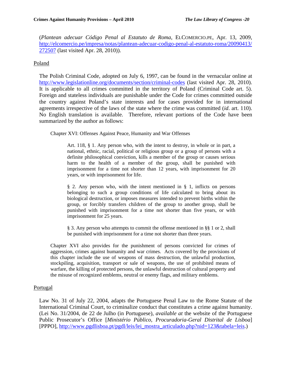(*Plantean adecuar Código Penal al Estatuto de Roma*, ELCOMERCIO.PE, Apr. 13, 2009, [http://elcomercio.pe/impresa/notas/plantean-adecuar-codigo-penal-al-estatuto-roma/20090413/](http://elcomercio.pe/impresa/notas/%20plantean-adecuar-codigo-penal-al-estatuto-roma/20090413/272507)  [272507](http://elcomercio.pe/impresa/notas/%20plantean-adecuar-codigo-penal-al-estatuto-roma/20090413/272507) (last visited Apr. 28, 2010)).

## Poland

The Polish Criminal Code, adopted on July 6, 1997, can be found in the vernacular online at <http://www.legislationline.org/documents/section/criminal-codes> (last visited Apr. 28, 2010). It is applicable to all crimes committed in the territory of Poland (Criminal Code art. 5). Foreign and stateless individuals are punishable under the Code for crimes committed outside the country against Poland's state interests and for cases provided for in international agreements irrespective of the laws of the state where the crime was committed (*id*. art. 110). No English translation is available. Therefore, relevant portions of the Code have been summarized by the author as follows:

Chapter XVI: Offenses Against Peace, Humanity and War Offenses

Art. 118, § 1. Any person who, with the intent to destroy, in whole or in part, a national, ethnic, racial, political or religious group or a group of persons with a definite philosophical conviction, kills a member of the group or causes serious harm to the health of a member of the group, shall be punished with imprisonment for a time not shorter than 12 years, with imprisonment for 20 years, or with imprisonment for life.

§ 2. Any person who, with the intent mentioned in § 1, inflicts on persons belonging to such a group conditions of life calculated to bring about its biological destruction, or imposes measures intended to prevent births within the group, or forcibly transfers children of the group to another group, shall be punished with imprisonment for a time not shorter than five years, or with imprisonment for 25 years.

§ 3. Any person who attempts to commit the offense mentioned in §§ 1 or 2, shall be punished with imprisonment for a time not shorter than three years.

Chapter XVI also provides for the punishment of persons convicted for crimes of aggression, crimes against humanity and war crimes. Acts covered by the provisions of this chapter include the use of weapons of mass destruction, the unlawful production, stockpiling, acquisition, transport or sale of weapons, the use of prohibited means of warfare, the killing of protected persons, the unlawful destruction of cultural property and the misuse of recognized emblems, neutral or enemy flags, and military emblems.

## Portugal

Law No. 31 of July 22, 2004, adapts the Portuguese Penal Law to the Rome Statute of the International Criminal Court, to criminalize conduct that constitutes a crime against humanity. (Lei No. 31/2004, de 22 de Julho (in Portuguese), *available at* the website of the Portuguese Public Prosecutor's Office [*Ministério Público, Procuradoria-Geral Distrital de Lisboa*] [PPPO], [http://www.pgdlisboa.pt/pgdl/leis/lei\\_mostra\\_articulado.php?nid=123&tabela=leis.](http://www.pgdlisboa.pt/pgdl/leis/lei_mostra_articulado.php?nid=123&tabela=leis))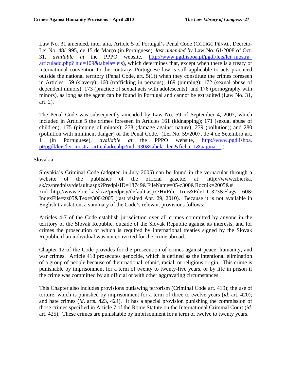Law No. 31 amended, inter alia, Article 5 of Portugal's Penal Code (CÓDIGO PENAL, Decreto-Lei No. 48/1995, de 15 de Março (in Portuguese), *last amended by* Law No. 61/2008 of Oct. 31, *available at* the PPPO website, [http://www.pgdlisboa.pt/pgdl/leis/lei\\_mostra\\_](http://www.pgdlisboa.pt/pgdl/leis/lei_mostra_articulado.php?nid=109&tabela=leis)  [articulado.php? nid=109&tabela=leis](http://www.pgdlisboa.pt/pgdl/leis/lei_mostra_articulado.php?nid=109&tabela=leis)), which determines that, except when there is a treaty or international convention to the contrary, Portuguese law is still applicable to acts practiced outside the national territory (Penal Code, art. 5(1)) when they constitute the crimes foreseen in Articles 159 (slavery); 160 (trafficking in persons); 169 (pimping); 172 (sexual abuse of dependent minors); 173 (practice of sexual acts with adolescents); and 176 (pornography with minors), as long as the agent can be found in Portugal and cannot be extradited (Law No. 31, art. 2).

The Penal Code was subsequently amended by Law No. 59 of September 4, 2007, which included in Article 5 the crimes foreseen in Articles 161 (kidnapping); 171 (sexual abuse of children); 175 (pimping of minors); 278 (damage against nature); 279 (pollution); and 280 (pollution with imminent danger) of the Penal Code. (Lei No. 59/2007, de 4 de Setembro art. 1 (in Portuguese), *available at* the PPPO website, [http://www.pgdlisboa.](http://www.pgdlisboa.pt/pgdl/leis/lei_mostra_articulado.php?nid=930&tabela=leis&ficha=1&pagina=1)  [pt/pgdl/leis/lei\\_mostra\\_articulado.php?nid=930&tabela=leis&ficha=1&pagina=1.](http://www.pgdlisboa.pt/pgdl/leis/lei_mostra_articulado.php?nid=930&tabela=leis&ficha=1&pagina=1))

# Slovakia

Slovakia's Criminal Code (adopted in July 2005) can be found in the vernacular through a website of the publisher of the official gazette, at: http://www.zbierka. sk/zz/predpisy/default.aspx?PredpisID=18749&FileName=05-z300&Rocnik=2005&# xml=http://www.zbierka.sk/zz/predpisy/default.aspx?HitFile=True&FileID=323&Flags=160& IndexFile=zz05&Text=300/2005 (last visited Apr. 29, 2010). Because it is not available in English translation, a summary of the Code's relevant provisions follows:

Articles 4-7 of the Code establish jurisdiction over all crimes committed by anyone in the territory of the Slovak Republic, outside of the Slovak Republic against its interests, and for crimes the prosecution of which is required by international treaties signed by the Slovak Republic if an individual was not convicted for the crime abroad.

Chapter 12 of the Code provides for the prosecution of crimes against peace, humanity, and war crimes. Article 418 prosecutes genocide, which is defined as the intentional elimination of a group of people because of their national, ethnic, racial, or religious origin. This crime is punishable by imprisonment for a term of twenty to twenty-five years, or by life in prison if the crime was committed by an official or with other aggravating circumstances.

This Chapter also includes provisions outlawing terrorism (Criminal Code art. 419); the use of torture, which is punished by imprisonment for a term of three to twelve years (*id*. art. 420); and hate crimes (*id*. arts. 423, 424). It has a special provision punishing the commission of those crimes specified in Article 7 of the Rome Statute on the International Criminal Court (*id*. art. 425). These crimes are punishable by imprisonment for a term of twelve to twenty years.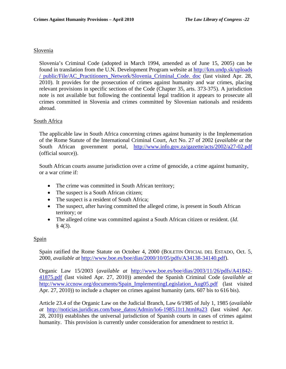#### Slovenia

Slovenia's Criminal Code (adopted in March 1994, amended as of June 15, 2005) can be found in translation from the U.N. Development Program website at [http://km.undp.sk/uploads](http://km.undp.sk/uploads/public/File/AC_Practitioners_Network/Slovenia_Criminal_Code.doc)  [/ public/File/AC\\_Practitioners\\_Network/Slovenia\\_Criminal\\_Code. doc](http://km.undp.sk/uploads/public/File/AC_Practitioners_Network/Slovenia_Criminal_Code.doc) (last visited Apr. 28, 2010). It provides for the prosecution of crimes against humanity and war crimes, placing relevant provisions in specific sections of the Code (Chapter 35, arts. 373-375). A jurisdiction note is not available but following the continental legal tradition it appears to prosecute all crimes committed in Slovenia and crimes committed by Slovenian nationals and residents abroad.

#### South Africa

The applicable law in South Africa concerning crimes against humanity is the Implementation of the Rome Statute of the International Criminal Court, Act No. 27 of 2002 (*available at* the South African government portal, http://www.info.gov.za/gazette/acts/2002/a27-02.pdf (official source)).

South African courts assume jurisdiction over a crime of genocide, a crime against humanity, or a war crime if:

- The crime was committed in South African territory;
- The suspect is a South African citizen;
- The suspect is a resident of South Africa;
- The suspect, after having committed the alleged crime, is present in South African territory; or
- The alleged crime was committed against a South African citizen or resident. (*Id*.  $§$  4(3).

## **Spain**

Spain ratified the Rome Statute on October 4, 2000 (BOLETIN OFICIAL DEL ESTADO, Oct. 5, 2000, *available at* <http://www.boe.es/boe/dias/2000/10/05/pdfs/A34138-34140.pdf>).

Organic Law 15/2003 (*available at* [http://www.boe.es/boe/dias/2003/11/26/pdfs/A41842-](http://www.boe.es/boe/dias/2003/11/26/pdfs/A41842-41875.pdf) [41875.pdf](http://www.boe.es/boe/dias/2003/11/26/pdfs/A41842-41875.pdf) (last visited Apr. 27, 2010)) amended the Spanish Criminal Code (*available at*  [http://www.iccnow.org/documents/Spain\\_ImplementingLegislation\\_Aug05.pdf](http://www.iccnow.org/documents/Spain_ImplementingLegislation_Aug05.pdf) (last visited Apr. 27, 2010)) to include a chapter on crimes against humanity (arts. 607 bis to 616 bis).

Article 23.4 of the Organic Law on the Judicial Branch, Law 6/1985 of July 1, 1985 (*available at* [http://noticias.juridicas.com/base\\_datos/Admin/lo6-1985.l1t1.html#a23](http://noticias.juridicas.com/base_datos/Admin/lo6-1985.l1t1.html#a23) (last visited Apr. 28, 2010)) establishes the universal jurisdiction of Spanish courts in cases of crimes against humanity. This provision is currently under consideration for amendment to restrict it.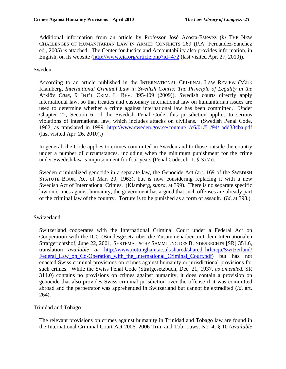Additional information from an article by Professor José Acosta-Estévez (*in* THE NEW CHALLENGES OF HUMANITARIAN LAW IN ARMED CONFLICTS 269 (P.A. Fernandez-Sanchez ed., 2005) is attached. The Center for Justice and Accountability also provides information, in English, on its website (<http://www.cja.org/article.php?id=472> (last visited Apr. 27, 2010)).

# Sweden

According to an article published in the INTERNATIONAL CRIMINAL LAW REVIEW (Mark Klamberg*, International Criminal Law in Swedish Courts: The Principle of Legality in the*  Arklöv *Case*, 9 INT'L CRIM. L. REV. 395-409 (2009)), Swedish courts directly apply international law, so that treaties and customary international law on humanitarian issues are used to determine whether a crime against international law has been committed. Under Chapter 22, Section 6, of the Swedish Penal Code, this jurisdiction applies to serious violations of international law, which includes attacks on civilians. (Swedish Penal Code, 1962, as translated in 1999, [http://www.sweden.gov.se/content/1/c6/01/51/94/ add334ba.pdf](http://www.sweden.gov.se/content/1/c6/01/51/94/add334ba.pdf) (last visited Apr. 26, 2010).)

In general, the Code applies to crimes committed in Sweden and to those outside the country under a number of circumstances, including when the minimum punishment for the crime under Swedish law is imprisonment for four years (Penal Code, ch. 1, § 3 (7)).

Sweden criminalized genocide in a separate law, the Genocide Act (art. 169 of the SWEDISH STATUTE BOOK, Act of Mar. 20, 1963), but is now considering replacing it with a new Swedish Act of International Crimes. (Klamberg, *supra*, at 399). There is no separate specific law on crimes against humanity; the government has argued that such offenses are already part of the criminal law of the country. Torture is to be punished as a form of assault. (*Id*. at 398.)

# **Switzerland**

Switzerland cooperates with the International Criminal Court under a Federal Act on Cooperation with the ICC (Bundesgesetz über die Zusammenarbeit mit dem Internationalen Strafgerichtshof, June 22, 2001, SYSTEMATISCHE SAMMLUNG DES BUNDESRECHTS [SR] 351.6, translation *available at* [http://www.nottingham.ac.uk/shared/shared\\_hrlcicju/Switzerland/](http://www.nottingham.ac.uk/shared/shared_hrlcicju/Switzerland/Federal_Law_on_Co-Operation_with_the_International_Criminal_Court.pdf)  [Federal\\_Law\\_on\\_Co-Operation\\_with\\_the\\_International\\_Criminal\\_Court.pdf\)](http://www.nottingham.ac.uk/shared/shared_hrlcicju/Switzerland/Federal_Law_on_Co-Operation_with_the_International_Criminal_Court.pdf) but has not enacted Swiss criminal provisions on crimes against humanity or jurisdictional provisions for such crimes. While the Swiss Penal Code (Strafgesetzbuch, Dec. 21, 1937, *as amended*, SR 311.0) contains no provisions on crimes against humanity, it does contain a provision on genocide that also provides Swiss criminal jurisdiction over the offense if it was committed abroad and the perpetrator was apprehended in Switzerland but cannot be extradited (*id*. art. 264).

# Trinidad and Tobago

The relevant provisions on crimes against humanity in Trinidad and Tobago law are found in the International Criminal Court Act 2006, 2006 Trin. and Tob. Laws, No. 4, § 10 (*available*